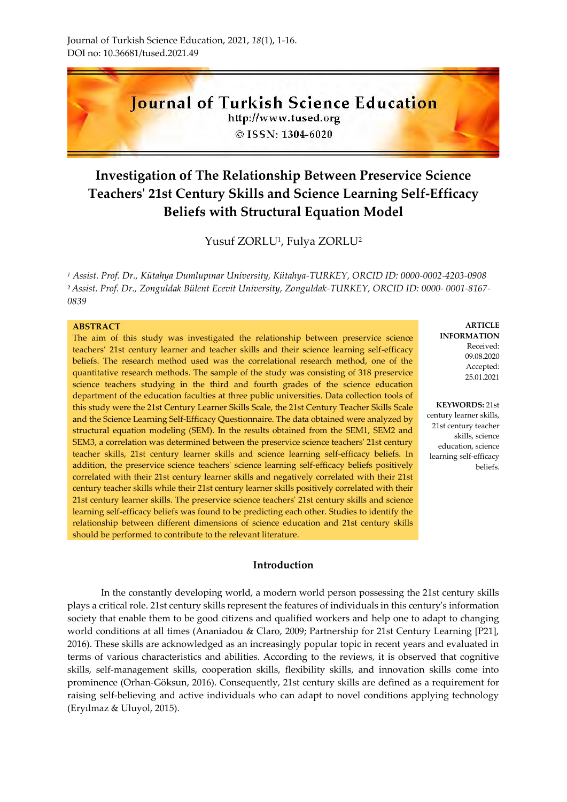

# **Investigation of The Relationship Between Preservice Science Teachers' 21st Century Skills and Science Learning Self-Efficacy Beliefs with Structural Equation Model**

Yusuf ZORLU<sup>1</sup>, Fulya ZORLU<sup>2</sup>

*<sup>1</sup> Assist. Prof. Dr., Kütahya Dumlupınar University, Kütahya-TURKEY, ORCID ID: 0000-0002-4203-0908 <sup>2</sup>Assist. Prof. Dr., Zonguldak Bülent Ecevit University, Zonguldak-TURKEY, ORCID ID: 0000- 0001-8167- 0839*

#### **ABSTRACT**

The aim of this study was investigated the relationship between preservice science teachers' 21st century learner and teacher skills and their science learning self-efficacy beliefs. The research method used was the correlational research method, one of the quantitative research methods. The sample of the study was consisting of 318 preservice science teachers studying in the third and fourth grades of the science education department of the education faculties at three public universities. Data collection tools of this study were the 21st Century Learner Skills Scale, the 21st Century Teacher Skills Scale and the Science Learning Self-Efficacy Questionnaire. The data obtained were analyzed by structural equation modeling (SEM). In the results obtained from the SEM1, SEM2 and SEM3, a correlation was determined between the preservice science teachers' 21st century teacher skills, 21st century learner skills and science learning self-efficacy beliefs. In addition, the preservice science teachers' science learning self-efficacy beliefs positively correlated with their 21st century learner skills and negatively correlated with their 21st century teacher skills while their 21st century learner skills positively correlated with their 21st century learner skills. The preservice science teachers' 21st century skills and science learning self-efficacy beliefs was found to be predicting each other. Studies to identify the relationship between different dimensions of science education and 21st century skills should be performed to contribute to the relevant literature.

### **Introduction**

In the constantly developing world, a modern world person possessing the 21st century skills plays a critical role. 21st century skills represent the features of individuals in this century's information society that enable them to be good citizens and qualified workers and help one to adapt to changing world conditions at all times (Ananiadou & Claro, 2009; Partnership for 21st Century Learning [P21], 2016). These skills are acknowledged as an increasingly popular topic in recent years and evaluated in terms of various characteristics and abilities. According to the reviews, it is observed that cognitive skills, self-management skills, cooperation skills, flexibility skills, and innovation skills come into prominence (Orhan-Göksun, 2016). Consequently, 21st century skills are defined as a requirement for raising self-believing and active individuals who can adapt to novel conditions applying technology (Eryılmaz & Uluyol, 2015).

**ARTICLE INFORMATION** Received: 09.08.2020 Accepted: 25.01.2021

**KEYWORDS:** 21st century learner skills, 21st century teacher skills, science education, science learning self-efficacy beliefs.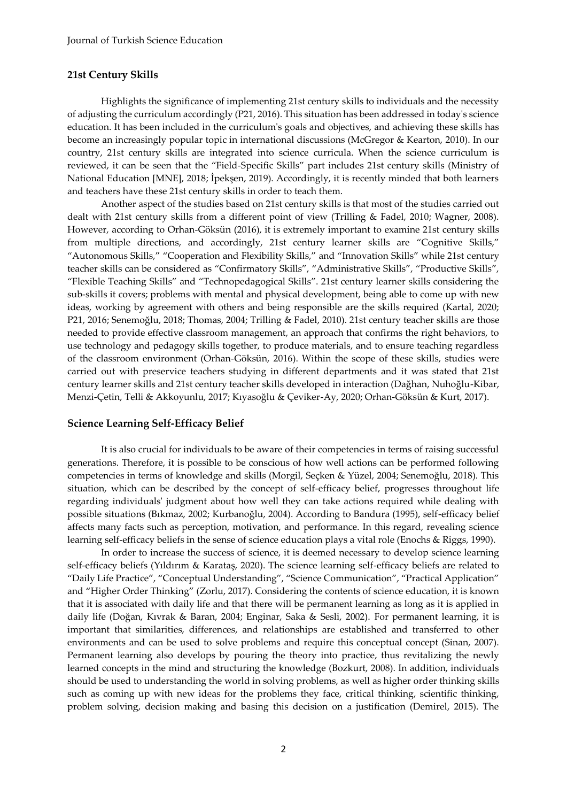### **21st Century Skills**

Highlights the significance of implementing 21st century skills to individuals and the necessity of adjusting the curriculum accordingly (P21, 2016). This situation has been addressed in today's science education. It has been included in the curriculum's goals and objectives, and achieving these skills has become an increasingly popular topic in international discussions (McGregor & Kearton, 2010). In our country, 21st century skills are integrated into science curricula. When the science curriculum is reviewed, it can be seen that the "Field-Specific Skills" part includes 21st century skills (Ministry of National Education [MNE], 2018; İpekşen, 2019). Accordingly, it is recently minded that both learners and teachers have these 21st century skills in order to teach them.

Another aspect of the studies based on 21st century skills is that most of the studies carried out dealt with 21st century skills from a different point of view (Trilling & Fadel, 2010; Wagner, 2008). However, according to Orhan-Göksün (2016), it is extremely important to examine 21st century skills from multiple directions, and accordingly, 21st century learner skills are "Cognitive Skills," "Autonomous Skills," "Cooperation and Flexibility Skills," and "Innovation Skills" while 21st century teacher skills can be considered as "Confirmatory Skills", "Administrative Skills", "Productive Skills", "Flexible Teaching Skills" and "Technopedagogical Skills". 21st century learner skills considering the sub-skills it covers; problems with mental and physical development, being able to come up with new ideas, working by agreement with others and being responsible are the skills required (Kartal, 2020; P21, 2016; Senemoğlu, 2018; Thomas, 2004; Trilling & Fadel, 2010). 21st century teacher skills are those needed to provide effective classroom management, an approach that confirms the right behaviors, to use technology and pedagogy skills together, to produce materials, and to ensure teaching regardless of the classroom environment (Orhan-Göksün, 2016). Within the scope of these skills, studies were carried out with preservice teachers studying in different departments and it was stated that 21st century learner skills and 21st century teacher skills developed in interaction (Dağhan, Nuhoğlu-Kibar, Menzi-Çetin, Telli & Akkoyunlu, 2017; Kıyasoğlu & Çeviker-Ay, 2020; Orhan-Göksün & Kurt, 2017).

# **Science Learning Self-Efficacy Belief**

It is also crucial for individuals to be aware of their competencies in terms of raising successful generations. Therefore, it is possible to be conscious of how well actions can be performed following competencies in terms of knowledge and skills (Morgil, Seçken & Yüzel, 2004; Senemoğlu, 2018). This situation, which can be described by the concept of self-efficacy belief, progresses throughout life regarding individuals' judgment about how well they can take actions required while dealing with possible situations (Bıkmaz, 2002; Kurbanoğlu, 2004). According to Bandura (1995), self-efficacy belief affects many facts such as perception, motivation, and performance. In this regard, revealing science learning self-efficacy beliefs in the sense of science education plays a vital role (Enochs & Riggs, 1990).

In order to increase the success of science, it is deemed necessary to develop science learning self-efficacy beliefs (Yıldırım & Karataş, 2020). The science learning self-efficacy beliefs are related to "Daily Life Practice", "Conceptual Understanding", "Science Communication", "Practical Application" and "Higher Order Thinking" (Zorlu, 2017). Considering the contents of science education, it is known that it is associated with daily life and that there will be permanent learning as long as it is applied in daily life (Doğan, Kıvrak & Baran, 2004; Enginar, Saka & Sesli, 2002). For permanent learning, it is important that similarities, differences, and relationships are established and transferred to other environments and can be used to solve problems and require this conceptual concept (Sinan, 2007). Permanent learning also develops by pouring the theory into practice, thus revitalizing the newly learned concepts in the mind and structuring the knowledge (Bozkurt, 2008). In addition, individuals should be used to understanding the world in solving problems, as well as higher order thinking skills such as coming up with new ideas for the problems they face, critical thinking, scientific thinking, problem solving, decision making and basing this decision on a justification (Demirel, 2015). The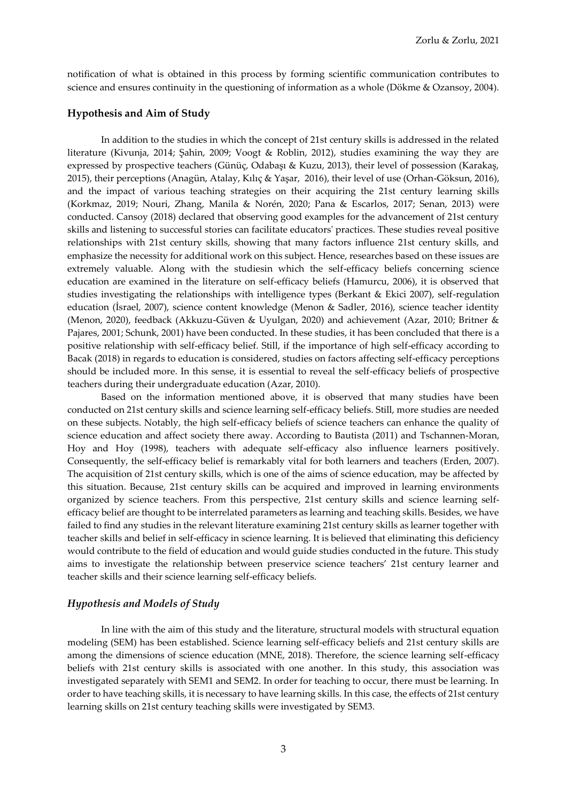notification of what is obtained in this process by forming scientific communication contributes to science and ensures continuity in the questioning of information as a whole (Dökme & Ozansoy, 2004).

### **Hypothesis and Aim of Study**

In addition to the studies in which the concept of 21st century skills is addressed in the related literature (Kivunja, 2014; Şahin, 2009; Voogt & Roblin, 2012), studies examining the way they are expressed by prospective teachers (Günüç, Odabaşı & Kuzu, 2013), their level of possession (Karakaş, 2015), their perceptions (Anagün, Atalay, Kılıç & Yaşar, 2016), their level of use (Orhan-Göksun, 2016), and the impact of various teaching strategies on their acquiring the 21st century learning skills (Korkmaz, 2019; Nouri, Zhang, Manila & Norén, 2020; Pana & Escarlos, 2017; Senan, 2013) were conducted. Cansoy (2018) declared that observing good examples for the advancement of 21st century skills and listening to successful stories can facilitate educators' practices. These studies reveal positive relationships with 21st century skills, showing that many factors influence 21st century skills, and emphasize the necessity for additional work on this subject. Hence, researches based on these issues are extremely valuable. Along with the studiesin which the self-efficacy beliefs concerning science education are examined in the literature on self-efficacy beliefs (Hamurcu, 2006), it is observed that studies investigating the relationships with intelligence types (Berkant & Ekici 2007), self-regulation education (İsrael, 2007), science content knowledge (Menon & Sadler, 2016), science teacher identity (Menon, 2020), feedback (Akkuzu-Güven & Uyulgan, 2020) and achievement (Azar, 2010; Britner & Pajares, 2001; Schunk, 2001) have been conducted. In these studies, it has been concluded that there is a positive relationship with self-efficacy belief. Still, if the importance of high self-efficacy according to Bacak (2018) in regards to education is considered, studies on factors affecting self-efficacy perceptions should be included more. In this sense, it is essential to reveal the self-efficacy beliefs of prospective teachers during their undergraduate education (Azar, 2010).

Based on the information mentioned above, it is observed that many studies have been conducted on 21st century skills and science learning self-efficacy beliefs. Still, more studies are needed on these subjects. Notably, the high self-efficacy beliefs of science teachers can enhance the quality of science education and affect society there away. According to Bautista (2011) and Tschannen-Moran, Hoy and Hoy (1998), teachers with adequate self-efficacy also influence learners positively. Consequently, the self-efficacy belief is remarkably vital for both learners and teachers (Erden, 2007). The acquisition of 21st century skills, which is one of the aims of science education, may be affected by this situation. Because, 21st century skills can be acquired and improved in learning environments organized by science teachers. From this perspective, 21st century skills and science learning selfefficacy belief are thought to be interrelated parameters as learning and teaching skills. Besides, we have failed to find any studies in the relevant literature examining 21st century skills as learner together with teacher skills and belief in self-efficacy in science learning. It is believed that eliminating this deficiency would contribute to the field of education and would guide studies conducted in the future. This study aims to investigate the relationship between preservice science teachers' 21st century learner and teacher skills and their science learning self-efficacy beliefs.

### *Hypothesis and Models of Study*

In line with the aim of this study and the literature, structural models with structural equation modeling (SEM) has been established. Science learning self-efficacy beliefs and 21st century skills are among the dimensions of science education (MNE, 2018). Therefore, the science learning self-efficacy beliefs with 21st century skills is associated with one another. In this study, this association was investigated separately with SEM1 and SEM2. In order for teaching to occur, there must be learning. In order to have teaching skills, it is necessary to have learning skills. In this case, the effects of 21st century learning skills on 21st century teaching skills were investigated by SEM3.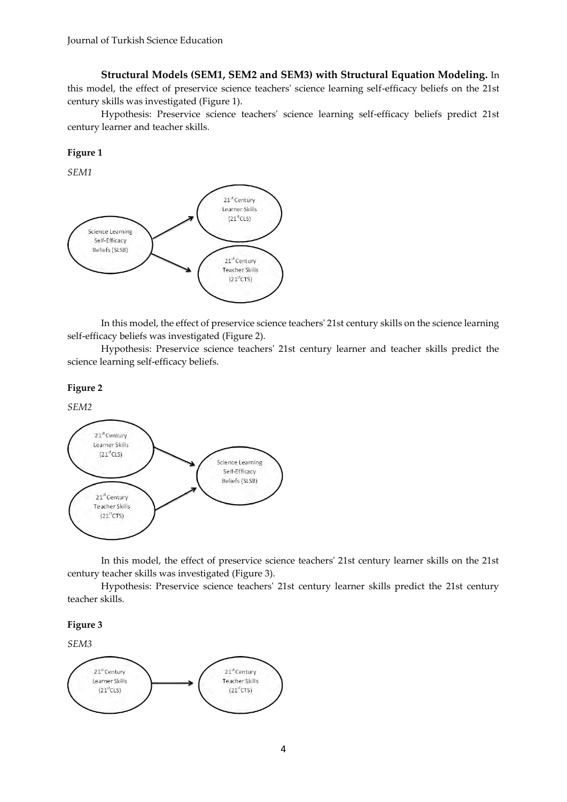**Structural Models (SEM1, SEM2 and SEM3) with Structural Equation Modeling.** In this model, the effect of preservice science teachers' science learning self-efficacy beliefs on the 21st century skills was investigated (Figure 1).

Hypothesis: Preservice science teachers' science learning self-efficacy beliefs predict 21st century learner and teacher skills.

### **Figure 1**

*SEM1*



In this model, the effect of preservice science teachers' 21st century skills on the science learning self-efficacy beliefs was investigated (Figure 2).

Hypothesis: Preservice science teachers' 21st century learner and teacher skills predict the science learning self-efficacy beliefs.

#### **Figure 2**

#### *SEM2*



In this model, the effect of preservice science teachers' 21st century learner skills on the 21st century teacher skills was investigated (Figure 3).

Hypothesis: Preservice science teachers' 21st century learner skills predict the 21st century teacher skills.

### **Figure 3**

*SEM3*

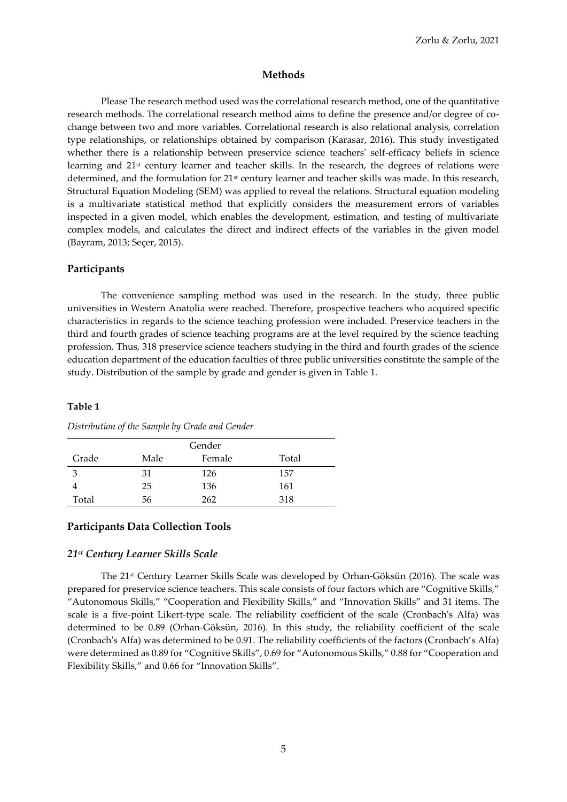### **Methods**

Please The research method used was the correlational research method, one of the quantitative research methods. The correlational research method aims to define the presence and/or degree of cochange between two and more variables. Correlational research is also relational analysis, correlation type relationships, or relationships obtained by comparison (Karasar, 2016). This study investigated whether there is a relationship between preservice science teachers' self-efficacy beliefs in science learning and  $21<sup>st</sup>$  century learner and teacher skills. In the research, the degrees of relations were determined, and the formulation for 21<sup>st</sup> century learner and teacher skills was made. In this research, Structural Equation Modeling (SEM) was applied to reveal the relations. Structural equation modeling is a multivariate statistical method that explicitly considers the measurement errors of variables inspected in a given model, which enables the development, estimation, and testing of multivariate complex models, and calculates the direct and indirect effects of the variables in the given model (Bayram, 2013; Seçer, 2015).

### **Participants**

The convenience sampling method was used in the research. In the study, three public universities in Western Anatolia were reached. Therefore, prospective teachers who acquired specific characteristics in regards to the science teaching profession were included. Preservice teachers in the third and fourth grades of science teaching programs are at the level required by the science teaching profession. Thus, 318 preservice science teachers studying in the third and fourth grades of the science education department of the education faculties of three public universities constitute the sample of the study. Distribution of the sample by grade and gender is given in Table 1.

### **Table 1**

| Gender |      |        |       |
|--------|------|--------|-------|
| Grade  | Male | Female | Total |
| 3      | 31   | 126    | 157   |
|        | 25   | 136    | 161   |
| Total  | 56   | 262    | 318   |

*Distribution of the Sample by Grade and Gender*

# **Participants Data Collection Tools**

### *21st Century Learner Skills Scale*

The 21st Century Learner Skills Scale was developed by Orhan-Göksün (2016). The scale was prepared for preservice science teachers. This scale consists of four factors which are "Cognitive Skills," "Autonomous Skills," "Cooperation and Flexibility Skills," and "Innovation Skills" and 31 items. The scale is a five-point Likert-type scale. The reliability coefficient of the scale (Cronbach's Alfa) was determined to be 0.89 (Orhan-Göksün, 2016). In this study, the reliability coefficient of the scale (Cronbach's Alfa) was determined to be 0.91. The reliability coefficients of the factors (Cronbach's Alfa) were determined as 0.89 for "Cognitive Skills", 0.69 for "Autonomous Skills," 0.88 for "Cooperation and Flexibility Skills," and 0.66 for "Innovation Skills".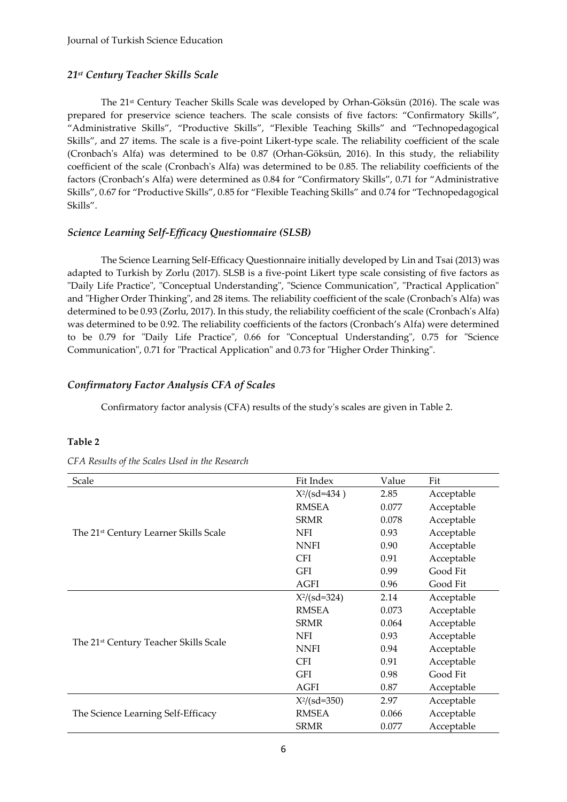# *21st Century Teacher Skills Scale*

The 21<sup>st</sup> Century Teacher Skills Scale was developed by Orhan-Göksün (2016). The scale was prepared for preservice science teachers. The scale consists of five factors: "Confirmatory Skills", "Administrative Skills", "Productive Skills", "Flexible Teaching Skills" and "Technopedagogical Skills", and 27 items. The scale is a five-point Likert-type scale. The reliability coefficient of the scale (Cronbach's Alfa) was determined to be 0.87 (Orhan-Göksün, 2016). In this study, the reliability coefficient of the scale (Cronbach's Alfa) was determined to be 0.85. The reliability coefficients of the factors (Cronbach's Alfa) were determined as 0.84 for "Confirmatory Skills", 0.71 for "Administrative Skills", 0.67 for "Productive Skills", 0.85 for "Flexible Teaching Skills" and 0.74 for "Technopedagogical Skills".

# *Science Learning Self-Efficacy Questionnaire (SLSB)*

The Science Learning Self-Efficacy Questionnaire initially developed by Lin and Tsai (2013) was adapted to Turkish by Zorlu (2017). SLSB is a five-point Likert type scale consisting of five factors as "Daily Life Practice", "Conceptual Understanding", "Science Communication", "Practical Application" and "Higher Order Thinking", and 28 items. The reliability coefficient of the scale (Cronbach's Alfa) was determined to be 0.93 (Zorlu, 2017). In this study, the reliability coefficient of the scale (Cronbach's Alfa) was determined to be 0.92. The reliability coefficients of the factors (Cronbach's Alfa) were determined to be 0.79 for "Daily Life Practice", 0.66 for "Conceptual Understanding", 0.75 for "Science Communication", 0.71 for "Practical Application" and 0.73 for "Higher Order Thinking".

# *Confirmatory Factor Analysis CFA of Scales*

Confirmatory factor analysis (CFA) results of the study's scales are given in Table 2.

# **Table 2**

| Scale                                             | Fit Index        | Value | Fit        |
|---------------------------------------------------|------------------|-------|------------|
|                                                   | $X^{2}/(sd=434)$ | 2.85  | Acceptable |
|                                                   | <b>RMSEA</b>     | 0.077 | Acceptable |
|                                                   | <b>SRMR</b>      | 0.078 | Acceptable |
| The 21 <sup>st</sup> Century Learner Skills Scale | NFI              | 0.93  | Acceptable |
|                                                   | <b>NNFI</b>      | 0.90  | Acceptable |
|                                                   | <b>CFI</b>       | 0.91  | Acceptable |
|                                                   | <b>GFI</b>       | 0.99  | Good Fit   |
|                                                   | <b>AGFI</b>      | 0.96  | Good Fit   |
|                                                   | $X^2/(sd=324)$   | 2.14  | Acceptable |
|                                                   | <b>RMSEA</b>     | 0.073 | Acceptable |
|                                                   | <b>SRMR</b>      | 0.064 | Acceptable |
| The 21 <sup>st</sup> Century Teacher Skills Scale | NFI              | 0.93  | Acceptable |
|                                                   | <b>NNFI</b>      | 0.94  | Acceptable |
|                                                   | <b>CFI</b>       | 0.91  | Acceptable |
|                                                   | <b>GFI</b>       | 0.98  | Good Fit   |
|                                                   | <b>AGFI</b>      | 0.87  | Acceptable |
|                                                   | $X^2/(sd=350)$   | 2.97  | Acceptable |
| The Science Learning Self-Efficacy                | <b>RMSEA</b>     | 0.066 | Acceptable |
|                                                   | <b>SRMR</b>      | 0.077 | Acceptable |

## *CFA Results of the Scales Used in the Research*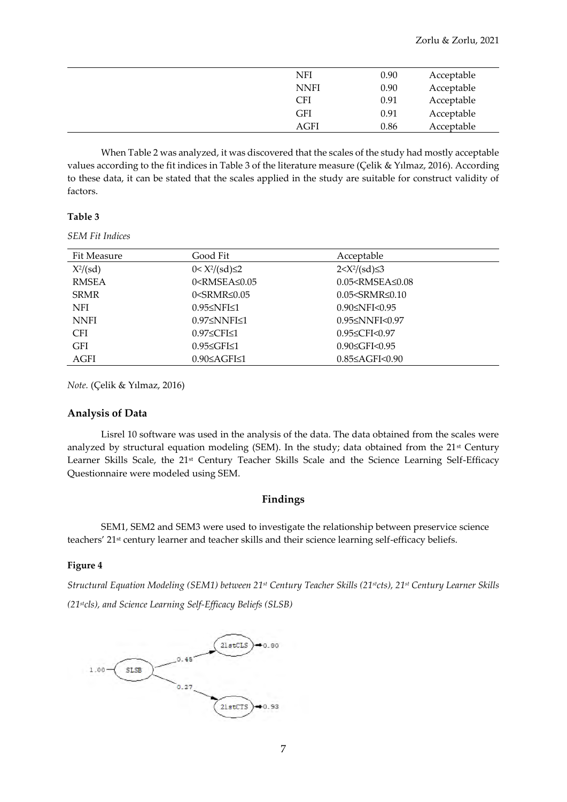| NFI         | 0.90 | Acceptable |
|-------------|------|------------|
| <b>NNFI</b> | 0.90 | Acceptable |
| <b>CFI</b>  | 0.91 | Acceptable |
| <b>GFI</b>  | 0.91 | Acceptable |
| AGFI        | 0.86 | Acceptable |

When Table 2 was analyzed, it was discovered that the scales of the study had mostly acceptable values according to the fit indices in Table 3 of the literature measure (Çelik & Yılmaz, 2016). According to these data, it can be stated that the scales applied in the study are suitable for construct validity of factors.

### **Table 3**

*SEM Fit Indices* 

| Fit Measure  | Good Fit                                                                                    | Acceptable                 |
|--------------|---------------------------------------------------------------------------------------------|----------------------------|
| $X^2/(sd)$   | $0 < X^2/(sd) \leq 2$                                                                       | $2 < X^2/(sd) \leq 3$      |
| <b>RMSEA</b> | $0 <$ RMSEA $\leq 0.05$                                                                     | $0.05 < RMSEA \leq 0.08$   |
| <b>SRMR</b>  | 0 <srmr≤0.05< td=""><td><math>0.05 &lt; SRM</math>R<math>\leq 0.10</math></td></srmr≤0.05<> | $0.05 < SRM$ R $\leq 0.10$ |
| NFI          | $0.95 \leq NFI \leq 1$                                                                      | $0.90 \leq NFI \leq 0.95$  |
| <b>NNFI</b>  | $0.97 \leq NNFI \leq 1$                                                                     | $0.95 \leq NNFI \leq 0.97$ |
| <b>CFI</b>   | $0.97 \le CFI \le 1$                                                                        | $0.95 \le CFI \le 0.97$    |
| <b>GFI</b>   | $0.95 \leq$ GFI $\leq$ 1                                                                    | $0.90 \leq GFI \leq 0.95$  |
| AGFI         | $0.90 \leq$ AGFI $\leq$ 1                                                                   | $0.85 \leq AGF1 \leq 0.90$ |

*Note.* (Çelik & Yılmaz, 2016)

# **Analysis of Data**

Lisrel 10 software was used in the analysis of the data. The data obtained from the scales were analyzed by structural equation modeling (SEM). In the study; data obtained from the 21<sup>st</sup> Century Learner Skills Scale, the 21<sup>st</sup> Century Teacher Skills Scale and the Science Learning Self-Efficacy Questionnaire were modeled using SEM.

### **Findings**

SEM1, SEM2 and SEM3 were used to investigate the relationship between preservice science teachers' 21<sup>st</sup> century learner and teacher skills and their science learning self-efficacy beliefs.

### **Figure 4**

*Structural Equation Modeling (SEM1) between 21st Century Teacher Skills (21stcts), 21st Century Learner Skills (21stcls), and Science Learning Self-Efficacy Beliefs (SLSB)*

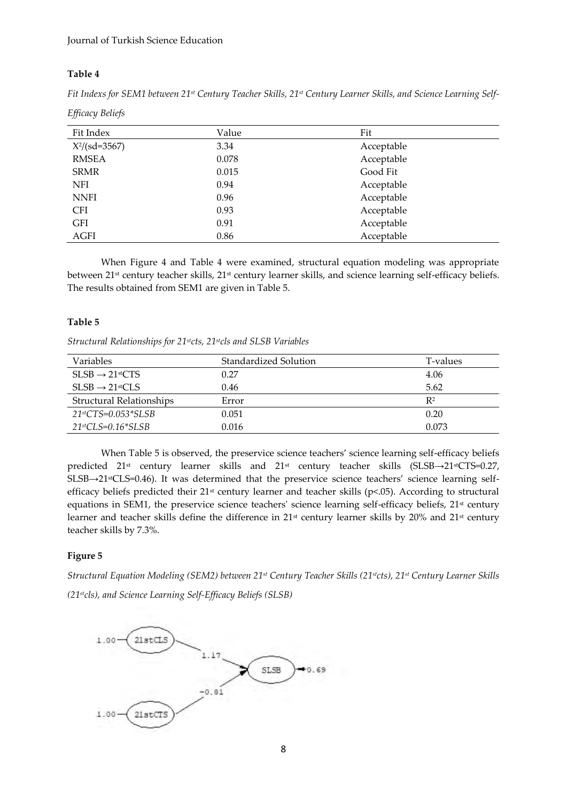# **Table 4**

*Fit Indexs for SEM1 between 21st Century Teacher Skills, 21st Century Learner Skills, and Science Learning Self-*

| Fit Index<br>Fit<br>Value<br>$X^2/(sd=3567)$<br>3.34<br>Acceptable |              |       |            |
|--------------------------------------------------------------------|--------------|-------|------------|
|                                                                    |              |       |            |
|                                                                    |              |       |            |
|                                                                    | <b>RMSEA</b> | 0.078 | Acceptable |
| Good Fit<br><b>SRMR</b><br>0.015                                   |              |       |            |
| 0.94<br>Acceptable<br>NFI                                          |              |       |            |
| Acceptable<br><b>NNFI</b><br>0.96                                  |              |       |            |
| Acceptable<br>0.93<br><b>CFI</b>                                   |              |       |            |
| Acceptable<br><b>GFI</b><br>0.91                                   |              |       |            |
| Acceptable<br>AGFI<br>0.86                                         |              |       |            |

*Efficacy Beliefs*

When Figure 4 and Table 4 were examined, structural equation modeling was appropriate between 21st century teacher skills, 21st century learner skills, and science learning self-efficacy beliefs. The results obtained from SEM1 are given in Table 5.

# **Table 5**

*Structural Relationships for 21stcts, 21stcls and SLSB Variables*

| Variables                    | Standardized Solution | T-values |
|------------------------------|-----------------------|----------|
| $SLSB \rightarrow 21$ st CTS | 0.27                  | 4.06     |
| $SLSB \rightarrow 21$ stCLS  | 0.46                  | 5.62     |
| Structural Relationships     | Error                 | $R^2$    |
| $21$ st CTS=0.053*SLSB       | 0.051                 | 0.20     |
| $21$ st CLS=0.16*SLSB        | 0.016                 | 0.073    |

When Table 5 is observed, the preservice science teachers' science learning self-efficacy beliefs predicted 21st century learner skills and 21st century teacher skills (SLSB→21stCTS=0.27, SLSB→21stCLS=0.46). It was determined that the preservice science teachers' science learning selfefficacy beliefs predicted their  $21^{st}$  century learner and teacher skills (p<.05). According to structural equations in SEM1, the preservice science teachers' science learning self-efficacy beliefs, 21<sup>st</sup> century learner and teacher skills define the difference in 21<sup>st</sup> century learner skills by 20% and 21<sup>st</sup> century teacher skills by 7.3%.

# **Figure 5**

*Structural Equation Modeling (SEM2) between 21st Century Teacher Skills (21stcts), 21st Century Learner Skills (21stcls), and Science Learning Self-Efficacy Beliefs (SLSB)*

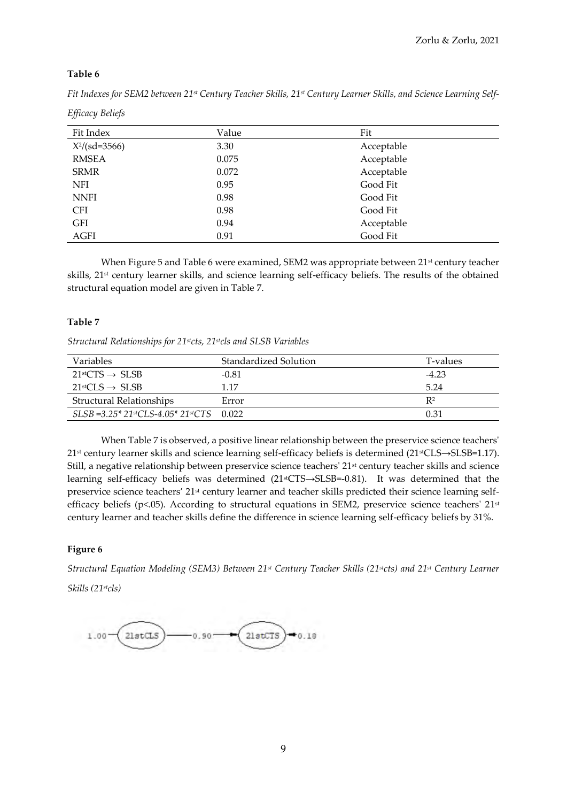## **Table 6**

*Fit Indexes for SEM2 between 21st Century Teacher Skills, 21st Century Learner Skills, and Science Learning Self-*

| Fit Index       | Value | Fit        |
|-----------------|-------|------------|
| $X^2/(sd=3566)$ | 3.30  | Acceptable |
| <b>RMSEA</b>    | 0.075 | Acceptable |
| <b>SRMR</b>     | 0.072 | Acceptable |
| <b>NFI</b>      | 0.95  | Good Fit   |
| <b>NNFI</b>     | 0.98  | Good Fit   |
| <b>CFI</b>      | 0.98  | Good Fit   |
| <b>GFI</b>      | 0.94  | Acceptable |
| AGFI            | 0.91  | Good Fit   |

*Efficacy Beliefs*

When Figure 5 and Table 6 were examined, SEM2 was appropriate between 21<sup>st</sup> century teacher skills, 21st century learner skills, and science learning self-efficacy beliefs. The results of the obtained structural equation model are given in Table 7.

# **Table 7**

*Structural Relationships for 21stcts, 21stcls and SLSB Variables*

| Variables                                              | Standardized Solution | T-values |
|--------------------------------------------------------|-----------------------|----------|
| $21$ <sup>st</sup> CTS $\rightarrow$ SLSB              | $-0.81$               | $-4.23$  |
| $21$ <sup>st</sup> CLS $\rightarrow$ SLSB              | 1.17                  | 5.24     |
| Structural Relationships                               | Error                 | $R^2$    |
| $SLSB = 3.25^* 21^{st} CLS - 4.05^* 21^{st} CTS$ 0.022 |                       | 0.31     |

When Table 7 is observed, a positive linear relationship between the preservice science teachers' 21st century learner skills and science learning self-efficacy beliefs is determined (21stCLS→SLSB=1.17). Still, a negative relationship between preservice science teachers' 21<sup>st</sup> century teacher skills and science learning self-efficacy beliefs was determined (21stCTS→SLSB=-0.81). It was determined that the preservice science teachers' 21<sup>st</sup> century learner and teacher skills predicted their science learning selfefficacy beliefs (p<.05). According to structural equations in SEM2, preservice science teachers' 21 st century learner and teacher skills define the difference in science learning self-efficacy beliefs by 31%.

## **Figure 6**

*Structural Equation Modeling (SEM3) Between 21st Century Teacher Skills (21stcts) and 21st Century Learner Skills (21stcls)*

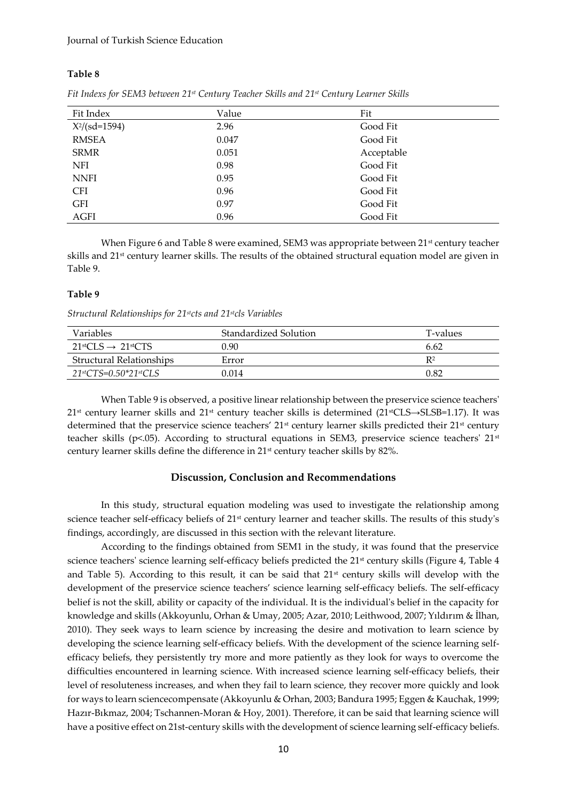### **Table 8**

| Fit Index       | Value | Fit        |
|-----------------|-------|------------|
| $X^2/(sd=1594)$ | 2.96  | Good Fit   |
| <b>RMSEA</b>    | 0.047 | Good Fit   |
| <b>SRMR</b>     | 0.051 | Acceptable |
| <b>NFI</b>      | 0.98  | Good Fit   |
| <b>NNFI</b>     | 0.95  | Good Fit   |
| <b>CFI</b>      | 0.96  | Good Fit   |
| <b>GFI</b>      | 0.97  | Good Fit   |
| <b>AGFI</b>     | 0.96  | Good Fit   |

*Fit Indexs for SEM3 between 21st Century Teacher Skills and 21st Century Learner Skills*

When Figure 6 and Table 8 were examined, SEM3 was appropriate between  $21<sup>st</sup>$  century teacher skills and 21st century learner skills. The results of the obtained structural equation model are given in Table 9.

### **Table 9**

*Structural Relationships for 21stcts and 21stcls Variables*

| Variables                                                 | Standardized Solution | T-values |
|-----------------------------------------------------------|-----------------------|----------|
| $21$ <sup>st</sup> CLS $\rightarrow$ 21 <sup>st</sup> CTS | 0.90                  | 6.62     |
| Structural Relationships                                  | Error                 | $R^2$    |
| $21$ stCTS=0.50*21stCLS                                   | 0.014                 | 0.82     |

When Table 9 is observed, a positive linear relationship between the preservice science teachers' 21<sup>st</sup> century learner skills and 21<sup>st</sup> century teacher skills is determined (21<sup>st</sup>CLS→SLSB=1.17). It was determined that the preservice science teachers'  $21<sup>st</sup>$  century learner skills predicted their  $21<sup>st</sup>$  century teacher skills (p<.05). According to structural equations in SEM3, preservice science teachers' 21<sup>st</sup> century learner skills define the difference in 21st century teacher skills by 82%.

# **Discussion, Conclusion and Recommendations**

In this study, structural equation modeling was used to investigate the relationship among science teacher self-efficacy beliefs of 21<sup>st</sup> century learner and teacher skills. The results of this study's findings, accordingly, are discussed in this section with the relevant literature.

According to the findings obtained from SEM1 in the study, it was found that the preservice science teachers' science learning self-efficacy beliefs predicted the 21<sup>st</sup> century skills (Figure 4, Table 4 and Table 5). According to this result, it can be said that  $21<sup>st</sup>$  century skills will develop with the development of the preservice science teachers' science learning self-efficacy beliefs. The self-efficacy belief is not the skill, ability or capacity of the individual. It is the individual's belief in the capacity for knowledge and skills (Akkoyunlu, Orhan & Umay, 2005; Azar, 2010; Leithwood, 2007; Yıldırım & İlhan, 2010). They seek ways to learn science by increasing the desire and motivation to learn science by developing the science learning self-efficacy beliefs. With the development of the science learning selfefficacy beliefs, they persistently try more and more patiently as they look for ways to overcome the difficulties encountered in learning science. With increased science learning self-efficacy beliefs, their level of resoluteness increases, and when they fail to learn science, they recover more quickly and look for ways to learn sciencecompensate (Akkoyunlu & Orhan, 2003; Bandura 1995; Eggen & Kauchak, 1999; Hazır-Bıkmaz, 2004; Tschannen-Moran & Hoy, 2001). Therefore, it can be said that learning science will have a positive effect on 21st-century skills with the development of science learning self-efficacy beliefs.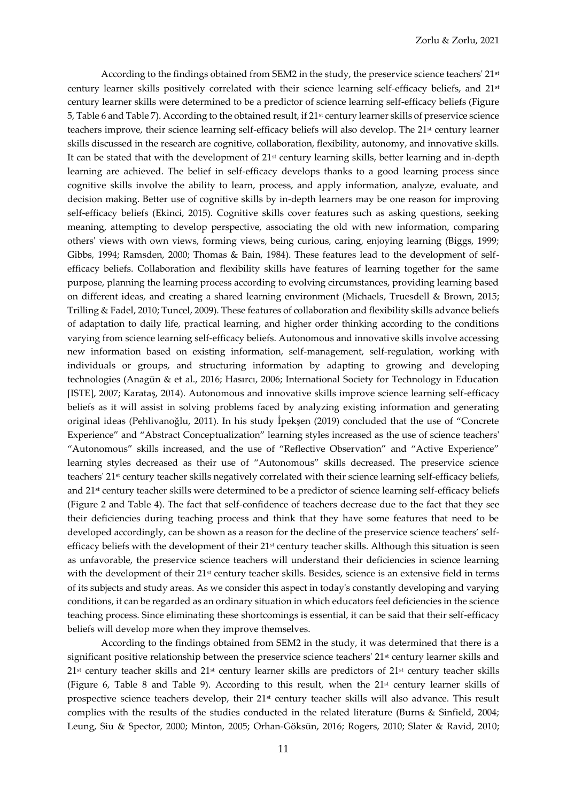According to the findings obtained from SEM2 in the study, the preservice science teachers'  $21<sup>st</sup>$ century learner skills positively correlated with their science learning self-efficacy beliefs, and 21st century learner skills were determined to be a predictor of science learning self-efficacy beliefs (Figure 5, Table 6 and Table 7). According to the obtained result, if 21st century learner skills of preservice science teachers improve, their science learning self-efficacy beliefs will also develop. The 21<sup>st</sup> century learner skills discussed in the research are cognitive, collaboration, flexibility, autonomy, and innovative skills. It can be stated that with the development of  $21<sup>st</sup>$  century learning skills, better learning and in-depth learning are achieved. The belief in self-efficacy develops thanks to a good learning process since cognitive skills involve the ability to learn, process, and apply information, analyze, evaluate, and decision making. Better use of cognitive skills by in-depth learners may be one reason for improving self-efficacy beliefs (Ekinci, 2015). Cognitive skills cover features such as asking questions, seeking meaning, attempting to develop perspective, associating the old with new information, comparing others' views with own views, forming views, being curious, caring, enjoying learning (Biggs, 1999; Gibbs, 1994; Ramsden, 2000; Thomas & Bain, 1984). These features lead to the development of selfefficacy beliefs. Collaboration and flexibility skills have features of learning together for the same purpose, planning the learning process according to evolving circumstances, providing learning based on different ideas, and creating a shared learning environment (Michaels, Truesdell & Brown, 2015; Trilling & Fadel, 2010; Tuncel, 2009). These features of collaboration and flexibility skills advance beliefs of adaptation to daily life, practical learning, and higher order thinking according to the conditions varying from science learning self-efficacy beliefs. Autonomous and innovative skills involve accessing new information based on existing information, self-management, self-regulation, working with individuals or groups, and structuring information by adapting to growing and developing technologies (Anagün & et al., 2016; Hasırcı, 2006; International Society for Technology in Education [ISTE], 2007; Karataş, 2014). Autonomous and innovative skills improve science learning self-efficacy beliefs as it will assist in solving problems faced by analyzing existing information and generating original ideas (Pehlivanoğlu, 2011). In his study İpekşen (2019) concluded that the use of "Concrete Experience" and "Abstract Conceptualization" learning styles increased as the use of science teachers' "Autonomous" skills increased, and the use of "Reflective Observation" and "Active Experience" learning styles decreased as their use of "Autonomous" skills decreased. The preservice science teachers' 21st century teacher skills negatively correlated with their science learning self-efficacy beliefs, and 21st century teacher skills were determined to be a predictor of science learning self-efficacy beliefs (Figure 2 and Table 4). The fact that self-confidence of teachers decrease due to the fact that they see their deficiencies during teaching process and think that they have some features that need to be developed accordingly, can be shown as a reason for the decline of the preservice science teachers' selfefficacy beliefs with the development of their 21<sup>st</sup> century teacher skills. Although this situation is seen as unfavorable, the preservice science teachers will understand their deficiencies in science learning with the development of their 21<sup>st</sup> century teacher skills. Besides, science is an extensive field in terms of its subjects and study areas. As we consider this aspect in today's constantly developing and varying conditions, it can be regarded as an ordinary situation in which educators feel deficiencies in the science teaching process. Since eliminating these shortcomings is essential, it can be said that their self-efficacy beliefs will develop more when they improve themselves.

According to the findings obtained from SEM2 in the study, it was determined that there is a significant positive relationship between the preservice science teachers' 21<sup>st</sup> century learner skills and  $21<sup>st</sup>$  century teacher skills and  $21<sup>st</sup>$  century learner skills are predictors of  $21<sup>st</sup>$  century teacher skills (Figure 6, Table 8 and Table 9). According to this result, when the  $21st$  century learner skills of prospective science teachers develop, their 21st century teacher skills will also advance. This result complies with the results of the studies conducted in the related literature (Burns & Sinfield, 2004; Leung, Siu & Spector, 2000; Minton, 2005; Orhan-Göksün, 2016; Rogers, 2010; Slater & Ravid, 2010;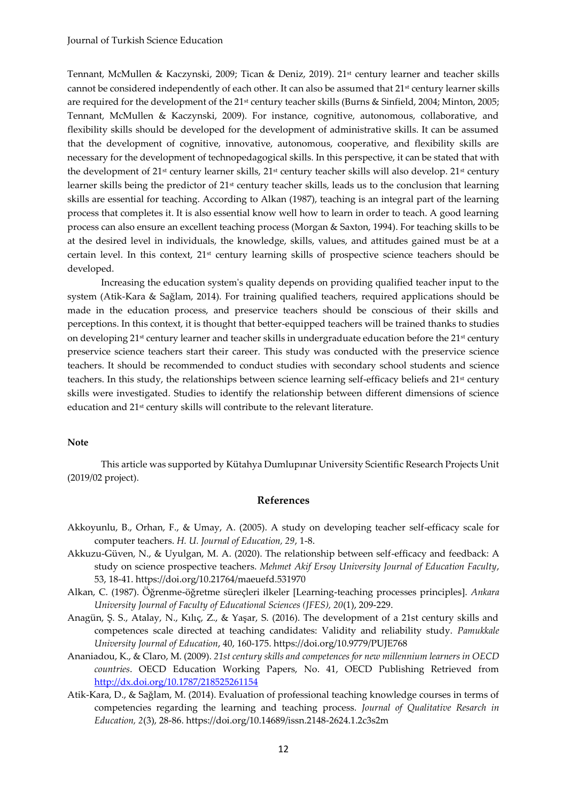Tennant, McMullen & Kaczynski, 2009; Tican & Deniz, 2019). 21st century learner and teacher skills cannot be considered independently of each other. It can also be assumed that 21<sup>st</sup> century learner skills are required for the development of the 21<sup>st</sup> century teacher skills (Burns & Sinfield, 2004; Minton, 2005; Tennant, McMullen & Kaczynski, 2009). For instance, cognitive, autonomous, collaborative, and flexibility skills should be developed for the development of administrative skills. It can be assumed that the development of cognitive, innovative, autonomous, cooperative, and flexibility skills are necessary for the development of technopedagogical skills. In this perspective, it can be stated that with the development of 21<sup>st</sup> century learner skills, 21<sup>st</sup> century teacher skills will also develop. 21<sup>st</sup> century learner skills being the predictor of 21st century teacher skills, leads us to the conclusion that learning skills are essential for teaching. According to Alkan (1987), teaching is an integral part of the learning process that completes it. It is also essential know well how to learn in order to teach. A good learning process can also ensure an excellent teaching process (Morgan & Saxton, 1994). For teaching skills to be at the desired level in individuals, the knowledge, skills, values, and attitudes gained must be at a certain level. In this context, 21st century learning skills of prospective science teachers should be developed.

Increasing the education system's quality depends on providing qualified teacher input to the system (Atik-Kara & Sağlam, 2014). For training qualified teachers, required applications should be made in the education process, and preservice teachers should be conscious of their skills and perceptions. In this context, it is thought that better-equipped teachers will be trained thanks to studies on developing 21<sup>st</sup> century learner and teacher skills in undergraduate education before the 21<sup>st</sup> century preservice science teachers start their career. This study was conducted with the preservice science teachers. It should be recommended to conduct studies with secondary school students and science teachers. In this study, the relationships between science learning self-efficacy beliefs and  $21^{st}$  century skills were investigated. Studies to identify the relationship between different dimensions of science education and 21st century skills will contribute to the relevant literature.

### **Note**

This article was supported by Kütahya Dumlupınar University Scientific Research Projects Unit (2019/02 project).

### **References**

- Akkoyunlu, B., Orhan, F., & Umay, A. (2005). A study on developing teacher self-efficacy scale for computer teachers. *H. U. Journal of Education, 29*, 1-8.
- Akkuzu-Güven, N., & Uyulgan, M. A. (2020). The relationship between self-efficacy and feedback: A study on science prospective teachers. *Mehmet Akif Ersoy University Journal of Education Faculty*, 53, 18-41. https://doi.org/10.21764/maeuefd.531970
- Alkan, C. (1987). Öğrenme-öğretme süreçleri ilkeler [Learning-teaching processes principles]. *Ankara University Journal of Faculty of Educational Sciences (JFES), 20*(1), 209-229.
- Anagün, Ş. S., Atalay, N., Kılıç, Z., & Yaşar, S. (2016). The development of a 21st century skills and competences scale directed at teaching candidates: Validity and reliability study. *Pamukkale University Journal of Education*, 40, 160-175. https://doi.org/10.9779/PUJE768
- Ananiadou, K., & Claro, M. (2009). *21st century skills and competences for new millennium learners in OECD countries*. OECD Education Working Papers, No. 41, OECD Publishing Retrieved from <http://dx.doi.org/10.1787/218525261154>
- Atik-Kara, D., & Sağlam, M. (2014). Evaluation of professional teaching knowledge courses in terms of competencies regarding the learning and teaching process. *Journal of Qualitative Resarch in Education, 2*(3), 28-86. https://doi.org/10.14689/issn.2148-2624.1.2c3s2m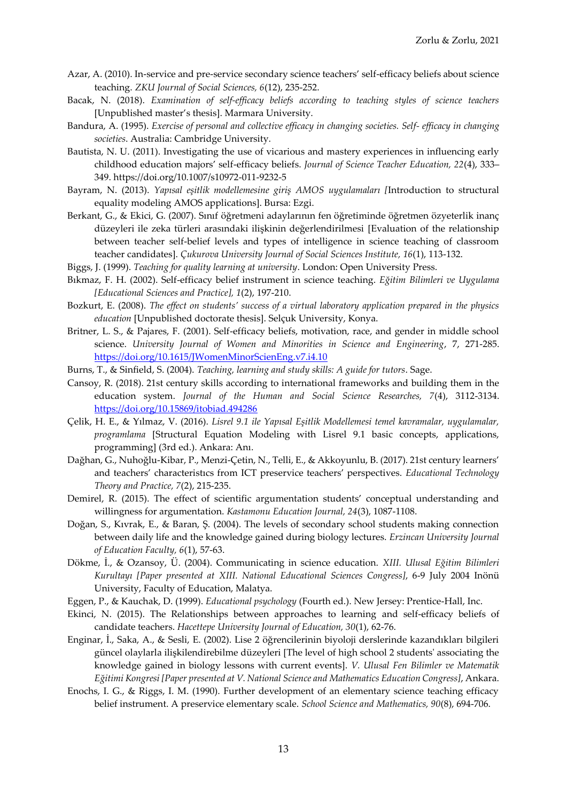- Azar, A. (2010). In-service and pre-service secondary science teachers' self-efficacy beliefs about science teaching. *ZKU Journal of Social Sciences, 6*(12), 235-252.
- Bacak, N. (2018). *Examination of self-efficacy beliefs according to teaching styles of science teachers*  [Unpublished master's thesis]. Marmara University.
- Bandura, A. (1995). *Exercise of personal and collective efficacy in changing societies. Self- efficacy in changing societies*. Australia: Cambridge University.
- Bautista, N. U. (2011). Investigating the use of vicarious and mastery experiences in influencing early childhood education majors' self-efficacy beliefs. *Journal of Science Teacher Education, 22*(4), 333– 349. https://doi.org/10.1007/s10972-011-9232-5
- Bayram, N. (2013). *Yapısal eşitlik modellemesine giriş AMOS uygulamaları [*Introduction to structural equality modeling AMOS applications]. Bursa: Ezgi.
- Berkant, G., & Ekici, G. (2007). Sınıf öğretmeni adaylarının fen öğretiminde öğretmen özyeterlik inanç düzeyleri ile zeka türleri arasındaki ilişkinin değerlendirilmesi [Evaluation of the relationship between teacher self-belief levels and types of intelligence in science teaching of classroom teacher candidates]. *Çukurova University Journal of Social Sciences Institute, 16*(1), 113-132.
- Biggs, J. (1999). *Teaching for quality learning at university*. London: Open University Press.
- Bıkmaz, F. H. (2002). Self-efficacy belief instrument in science teaching. *Eğitim Bilimleri ve Uygulama [Educational Sciences and Practice], 1*(2), 197-210.
- Bozkurt, E. (2008). *The effect on students' success of a virtual laboratory application prepared in the physics education* [Unpublished doctorate thesis]. Selçuk University, Konya.
- Britner, L. S., & Pajares, F. (2001). Self-efficacy beliefs, motivation, race, and gender in middle school science. *University Journal of Women and Minorities in Science and Engineering*, 7, 271-285. <https://doi.org/10.1615/JWomenMinorScienEng.v7.i4.10>
- Burns, T., & Sinfield, S. (2004). *Teaching, learning and study skills: A guide for tutors*. Sage.
- Cansoy, R. (2018). 21st century skills according to international frameworks and building them in the education system. *Journal of the Human and Social Science Researches, 7*(4), 3112-3134. <https://doi.org/10.15869/itobiad.494286>
- Çelik, H. E., & Yılmaz, V. (2016). *Lisrel 9.1 ile Yapısal Eşitlik Modellemesi temel kavramalar, uygulamalar, programlama* [Structural Equation Modeling with Lisrel 9.1 basic concepts, applications, programming] (3rd ed.). Ankara: Anı.
- Dağhan, G., Nuhoğlu-Kibar, P., Menzi-Çetin, N., Telli, E., & Akkoyunlu, B. (2017). 21st century learners' and teachers' characteristıcs from ICT preservice teachers' perspectives. *Educational Technology Theory and Practice, 7*(2), 215-235.
- Demirel, R. (2015). The effect of scientific argumentation students' conceptual understanding and willingness for argumentation. *Kastamonu Education Journal, 24*(3), 1087-1108.
- Doğan, S., Kıvrak, E., & Baran, Ş. (2004). The levels of secondary school students making connection between daily life and the knowledge gained during biology lectures. *Erzincan University Journal of Education Faculty, 6*(1), 57-63.
- Dökme, İ., & Ozansoy, Ü. (2004). Communicating in science education. *XIII. Ulusal Eğitim Bilimleri Kurultayı [Paper presented at XIII. National Educational Sciences Congress]*, 6-9 July 2004 Inönü University, Faculty of Education, Malatya.
- Eggen, P., & Kauchak, D. (1999). *Educational psychology* (Fourth ed.). New Jersey: Prentice-Hall, Inc.
- Ekinci, N. (2015). The Relationships between approaches to learning and self-efficacy beliefs of candidate teachers. *Hacettepe University Journal of Education, 30*(1), 62-76.
- Enginar, İ., Saka, A., & Sesli, E. (2002). Lise 2 öğrencilerinin biyoloji derslerinde kazandıkları bilgileri güncel olaylarla ilişkilendirebilme düzeyleri [The level of high school 2 students' associating the knowledge gained in biology lessons with current events]. *V. Ulusal Fen Bilimler ve Matematik Eğitimi Kongresi [Paper presented at V. National Science and Mathematics Education Congress]*, Ankara.
- Enochs, I. G., & Riggs, I. M. (1990). Further development of an elementary science teaching efficacy belief instrument. A preservice elementary scale. *School Science and Mathematics, 90*(8), 694-706.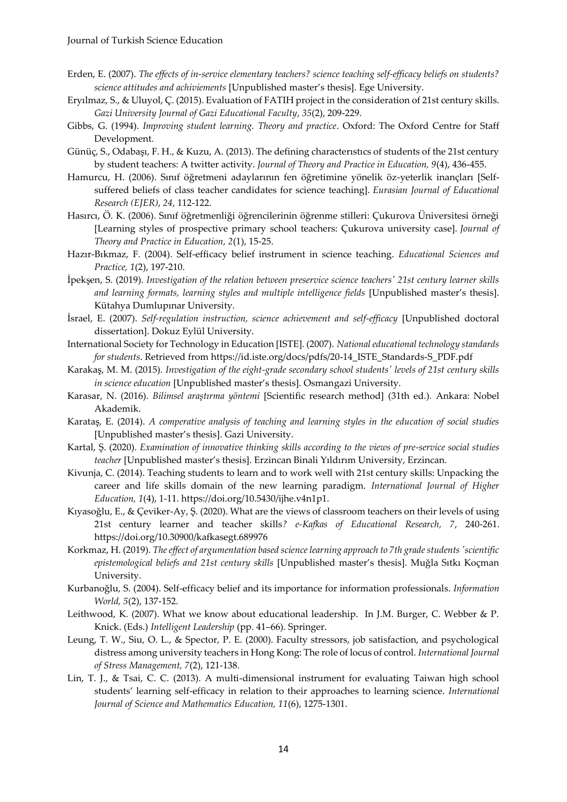- Erden, E. (2007). *The effects of in-service elementary teachers? science teaching self-efficacy beliefs on students? science attitudes and achiviements* [Unpublished master's thesis]. Ege University.
- Eryılmaz, S., & Uluyol, Ç. (2015). Evaluation of FATIH project in the consideration of 21st century skills. *Gazi University Journal of Gazi Educational Faculty*, *35*(2), 209-229.
- Gibbs, G. (1994). *Improving student learning. Theory and practice*. Oxford: The Oxford Centre for Staff Development.
- Günüç, S., Odabaşı, F. H., & Kuzu, A. (2013). The defining characterıstıcs of students of the 21st century by student teachers: A twitter activity. *Journal of Theory and Practice in Education, 9*(4), 436-455.
- Hamurcu, H. (2006). Sınıf öğretmeni adaylarının fen öğretimine yönelik öz-yeterlik inançları [Selfsuffered beliefs of class teacher candidates for science teaching]. *Eurasian Journal of Educational Research (EJER)*, *24*, 112-122.
- Hasırcı, Ö. K. (2006). Sınıf öğretmenliği öğrencilerinin öğrenme stilleri: Çukurova Üniversitesi örneği [Learning styles of prospective primary school teachers: Çukurova university case]. *Journal of Theory and Practice in Education, 2*(1), 15-25.
- Hazır-Bıkmaz, F. (2004). Self-efficacy belief instrument in science teaching. *Educational Sciences and Practice, 1*(2), 197-210.
- İpekşen, S. (2019). *Investigation of the relation between preservice science teachers' 21st century learner skills*  and learning formats, learning styles and multiple intelligence fields [Unpublished master's thesis]. Kütahya Dumlupınar University.
- İsrael, E. (2007). *Self-regulation instruction, science achievement and self-efficacy* [Unpublished doctoral dissertation]. Dokuz Eylül University.
- International Society for Technology in Education [ISTE]. (2007). *National educational technology standards for students*. Retrieved from https://id.iste.org/docs/pdfs/20-14\_ISTE\_Standards-S\_PDF.pdf
- Karakaş, M. M. (2015). *Investigation of the eight-grade secondary school students' levels of 21st century skills in science education* [Unpublished master's thesis]. Osmangazi University.
- Karasar, N. (2016). *Bilimsel araştırma yöntemi* [Scientific research method] (31th ed.)*.* Ankara: Nobel Akademik.
- Karataş, E. (2014). *A comperative analysis of teaching and learning styles in the education of social studies*  [Unpublished master's thesis]. Gazi University.
- Kartal, Ş. (2020). *Examination of innovative thinking skills according to the views of pre-service social studies teacher* [Unpublished master's thesis]. Erzincan Binali Yıldırım University, Erzincan.
- Kivunja, C. (2014). Teaching students to learn and to work well with 21st century skills: Unpacking the career and life skills domain of the new learning paradigm. *International Journal of Higher Education, 1*(4), 1-11. https://doi.org/10.5430/ijhe.v4n1p1.
- Kıyasoğlu, E., & Çeviker-Ay, Ş. (2020). What are the views of classroom teachers on their levels of using 21st century learner and teacher skills*? e-Kafkas of Educational Research, 7*, 240-261. https://doi.org/10.30900/kafkasegt.689976
- Korkmaz, H. (2019). *The effect of argumentation based science learning approach to 7th grade students 'scientific epistemological beliefs and 21st century skills* [Unpublished master's thesis]. Muğla Sıtkı Koçman University.
- Kurbanoğlu, S. (2004). Self-efficacy belief and its importance for information professionals. *Information World, 5*(2), 137-152.
- Leithwood, K. (2007). What we know about educational leadership. In J.M. Burger, C. Webber & P. Knick. (Eds.) *Intelligent Leadership* (pp. 41–66). Springer.
- Leung, T. W., Siu, O. L., & Spector, P. E. (2000). Faculty stressors, job satisfaction, and psychological distress among university teachers in Hong Kong: The role of locus of control. *International Journal of Stress Management, 7*(2), 121-138.
- Lin, T. J., & Tsai, C. C. (2013). A multi-dimensional instrument for evaluating Taiwan high school students' learning self-efficacy in relation to their approaches to learning science. *International Journal of Science and Mathematics Education, 11*(6), 1275-1301.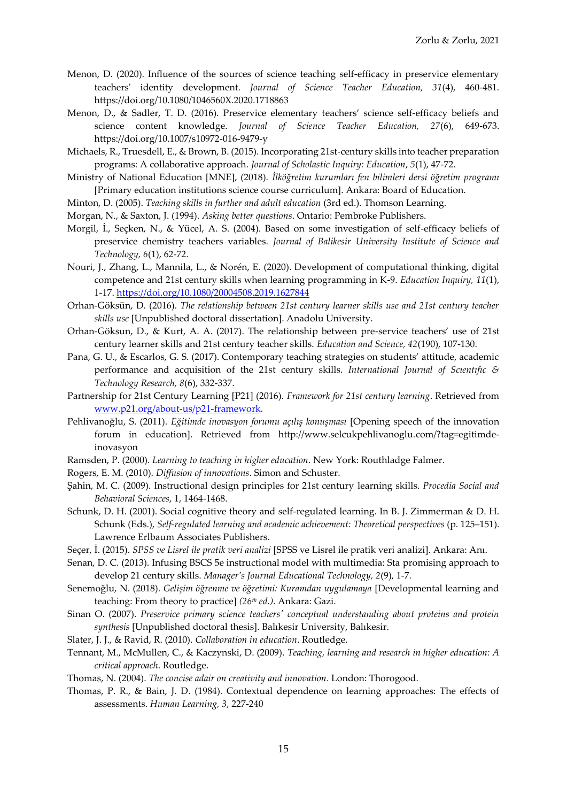- Menon, D. (2020). Influence of the sources of science teaching self-efficacy in preservice elementary teachers' identity development. *Journal of Science Teacher Education, 31*(4), 460-481. https://doi.org/10.1080/1046560X.2020.1718863
- Menon, D., & Sadler, T. D. (2016). Preservice elementary teachers' science self-efficacy beliefs and science content knowledge. *Journal of Science Teacher Education, 27*(6), 649-673. https://doi.org/10.1007/s10972-016-9479-y
- Michaels, R., Truesdell, E., & Brown, B. (2015). Incorporating 21st-century skills into teacher preparation programs: A collaborative approach. *Journal of Scholastic Inquiry: Education*, *5*(1), 47-72.
- Ministry of National Education [MNE], (2018). *İlköğretim kurumları fen bilimleri dersi öğretim programı*  [Primary education institutions science course curriculum]. Ankara: Board of Education.
- Minton, D. (2005). *Teaching skills in further and adult education* (3rd ed.). Thomson Learning.
- Morgan, N., & Saxton, J. (1994). *Asking better questions*. Ontario: Pembroke Publishers.
- Morgil, İ., Seçken, N., & Yücel, A. S. (2004). Based on some investigation of self-efficacy beliefs of preservice chemistry teachers variables. *Journal of Balikesir University Institute of Science and Technology, 6*(1), 62-72.
- Nouri, J., Zhang, L., Mannila, L., & Norén, E. (2020). Development of computational thinking, digital competence and 21st century skills when learning programming in K-9. *Education Inquiry, 11*(1), 1-17[. https://doi.org/10.1080/20004508.2019.1627844](https://doi.org/10.1080/20004508.2019.1627844)
- Orhan-Göksün, D. (2016). *The relationship between 21st century learner skills use and 21st century teacher skills use* [Unpublished doctoral dissertation]. Anadolu University.
- Orhan-Göksun, D., & Kurt, A. A. (2017). The relationship between pre-service teachers' use of 21st century learner skills and 21st century teacher skills. *Education and Science, 42*(190), 107-130.
- Pana, G. U., & Escarlos, G. S. (2017). Contemporary teaching strategies on students' attitude, academic performance and acquisition of the 21st century skills. *International Journal of Scıentıfıc & Technology Research, 8*(6), 332-337.
- Partnership for 21st Century Learning [P21] (2016). *Framework for 21st century learning*. Retrieved from [www.p21.org/about-us/p21-framework.](file:///F:/bilimsel%20çalışmalar/proje%20YEM/Downloads/www.p21.org/about-us/p21-framework)
- Pehlivanoğlu, S. (2011). *Eğitimde inovasyon forumu açılış konuşması* [Opening speech of the innovation forum in education]. Retrieved from http://www.selcukpehlivanoglu.com/?tag=egitimdeinovasyon
- Ramsden, P. (2000). *Learning to teaching in higher education*. New York: Routhladge Falmer.
- Rogers, E. M. (2010). *Diffusion of innovations*. Simon and Schuster.
- Şahin, M. C. (2009). Instructional design principles for 21st century learning skills. *Procedia Social and Behavioral Sciences*, 1, 1464-1468.
- Schunk, D. H. (2001). Social cognitive theory and self-regulated learning. In B. J. Zimmerman & D. H. Schunk (Eds.), *Self-regulated learning and academic achievement: Theoretical perspectives* (p. 125–151). Lawrence Erlbaum Associates Publishers.
- Seçer, İ. (2015). *SPSS ve Lisrel ile pratik veri analizi* [SPSS ve Lisrel ile pratik veri analizi]. Ankara: Anı.
- Senan, D. C. (2013). Infusing BSCS 5e instructional model with multimedia: Sta promising approach to develop 21 century skills. *Manager's Journal Educational Technology, 2*(9), 1-7.
- Senemoğlu, N. (2018). *Gelişim öğrenme ve öğretimi: Kuramdan uygulamaya* [Developmental learning and teaching: From theory to practice] *(26th ed.)*. Ankara: Gazi.
- Sinan O. (2007). *Preservice primary science teachers' conceptual understanding about proteins and protein synthesis* [Unpublished doctoral thesis]. Balıkesir University, Balıkesir.
- Slater, J. J., & Ravid, R. (2010). *Collaboration in education*. Routledge.
- Tennant, M., McMullen, C., & Kaczynski, D. (2009). *Teaching, learning and research in higher education: A critical approach*. Routledge.
- Thomas, N. (2004). *The concise adair on creativity and innovation*. London: Thorogood.
- Thomas, P. R., & Bain, J. D. (1984). Contextual dependence on learning approaches: The effects of assessments. *Human Learning, 3*, 227-240